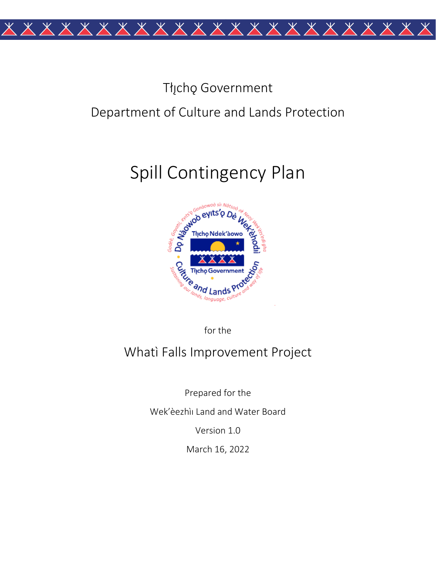

## Tłįchę Government Department of Culture and Lands Protection

# Spill Contingency Plan



for the

## Whati Falls Improvement Project

Prepared for the

Wek'èezhìi Land and Water Board

Version 1.0

March 16, 2022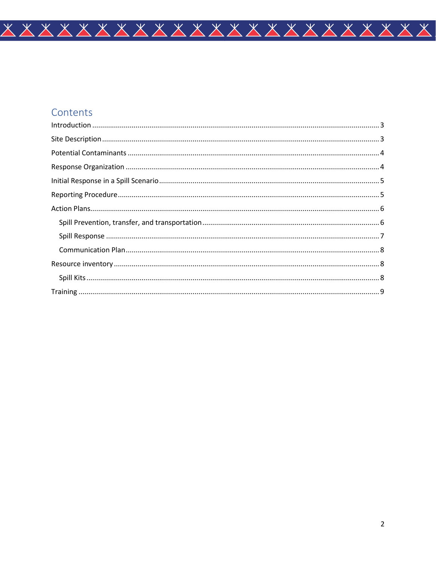## Contents

| $\begin{minipage}[c]{0.5\textwidth} \centering \begin{tabular}[c]{@{}l@{}} \hline \textbf{Training} & \textbf{3.01} & \textbf{4.02} & \textbf{5.03} & \textbf{6.03} & \textbf{7.03} & \textbf{8.03} & \textbf{9.03} \\ \textbf{1.03} & \textbf{1.03} & \textbf{1.03} & \textbf{1.03} & \textbf{1.03} & \textbf{1.03} & \textbf{1.03} & \textbf{1.03} & \textbf{1.03} & \textbf{1.03} & \textbf{1.0$ |  |
|-----------------------------------------------------------------------------------------------------------------------------------------------------------------------------------------------------------------------------------------------------------------------------------------------------------------------------------------------------------------------------------------------------|--|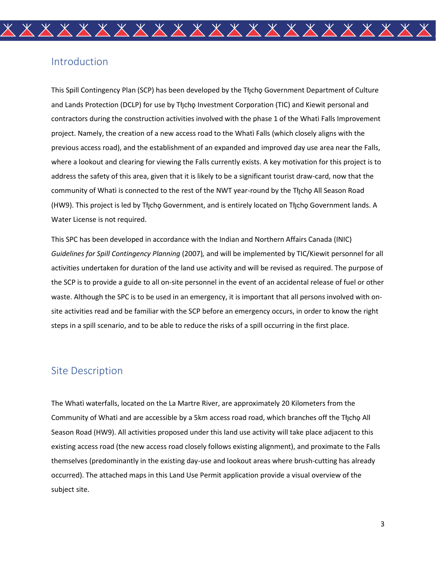#### <span id="page-2-0"></span>Introduction

This Spill Contingency Plan (SCP) has been developed by the Tłıcho Government Department of Culture and Lands Protection (DCLP) for use by Tłychǫ Investment Corporation (TIC) and Kiewit personal and contractors during the construction activities involved with the phase 1 of the Whatì Falls Improvement project. Namely, the creation of a new access road to the Whatì Falls (which closely aligns with the previous access road), and the establishment of an expanded and improved day use area near the Falls, where a lookout and clearing for viewing the Falls currently exists. A key motivation for this project is to address the safety of this area, given that it is likely to be a significant tourist draw-card, now that the community of Whatì is connected to the rest of the NWT year-round by the Tłıcho All Season Road (HW9). This project is led by Tłı̨chǫ Government, and is entirely located on Tłı̨chǫ Government lands. A Water License is not required.

This SPC has been developed in accordance with the Indian and Northern Affairs Canada (INIC) *Guidelines for Spill Contingency Planning* (2007)*,* and will be implemented by TIC/Kiewit personnel for all activities undertaken for duration of the land use activity and will be revised as required. The purpose of the SCP is to provide a guide to all on-site personnel in the event of an accidental release of fuel or other waste. Although the SPC is to be used in an emergency, it is important that all persons involved with onsite activities read and be familiar with the SCP before an emergency occurs, in order to know the right steps in a spill scenario, and to be able to reduce the risks of a spill occurring in the first place.

## <span id="page-2-1"></span>Site Description

The Whatì waterfalls, located on the La Martre River, are approximately 20 Kilometers from the Community of Whati and are accessible by a 5km access road road, which branches off the Tłicho All Season Road (HW9). All activities proposed under this land use activity will take place adjacent to this existing access road (the new access road closely follows existing alignment), and proximate to the Falls themselves (predominantly in the existing day-use and lookout areas where brush-cutting has already occurred). The attached maps in this Land Use Permit application provide a visual overview of the subject site.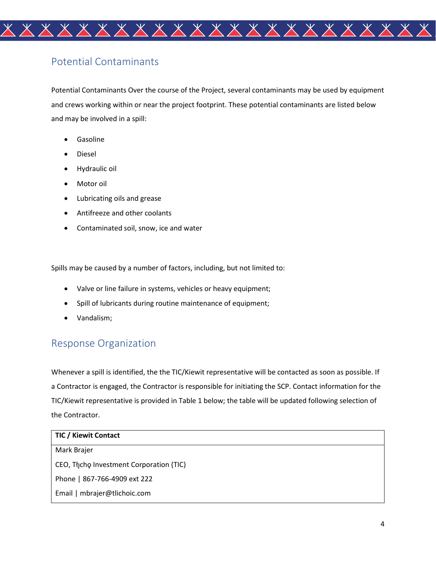

## <span id="page-3-0"></span>Potential Contaminants

Potential Contaminants Over the course of the Project, several contaminants may be used by equipment and crews working within or near the project footprint. These potential contaminants are listed below and may be involved in a spill:

- **Gasoline**
- Diesel
- Hydraulic oil
- Motor oil
- Lubricating oils and grease
- Antifreeze and other coolants
- Contaminated soil, snow, ice and water

Spills may be caused by a number of factors, including, but not limited to:

- Valve or line failure in systems, vehicles or heavy equipment;
- Spill of lubricants during routine maintenance of equipment;
- Vandalism;

## <span id="page-3-1"></span>Response Organization

Whenever a spill is identified, the the TIC/Kiewit representative will be contacted as soon as possible. If a Contractor is engaged, the Contractor is responsible for initiating the SCP. Contact information for the TIC/Kiewit representative is provided in Table 1 below; the table will be updated following selection of the Contractor.

| <b>TIC / Kiewit Contact</b>              |
|------------------------------------------|
| Mark Brajer                              |
| CEO, Thicho Investment Corporation (TIC) |
| Phone   867-766-4909 ext 222             |
| Email   mbrajer@tlichoic.com             |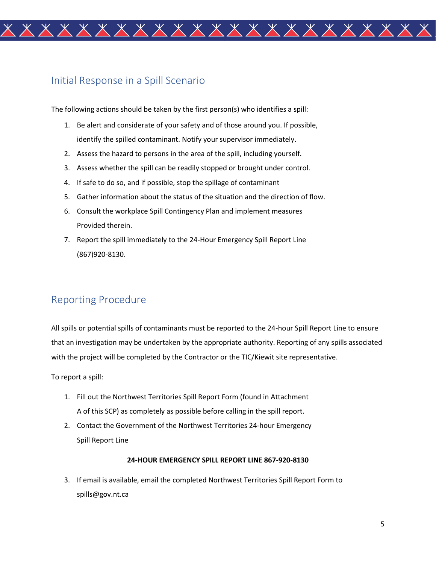

#### <span id="page-4-0"></span>Initial Response in a Spill Scenario

The following actions should be taken by the first person(s) who identifies a spill:

- 1. Be alert and considerate of your safety and of those around you. If possible, identify the spilled contaminant. Notify your supervisor immediately.
- 2. Assess the hazard to persons in the area of the spill, including yourself.
- 3. Assess whether the spill can be readily stopped or brought under control.
- 4. If safe to do so, and if possible, stop the spillage of contaminant
- 5. Gather information about the status of the situation and the direction of flow.
- 6. Consult the workplace Spill Contingency Plan and implement measures Provided therein.
- 7. Report the spill immediately to the 24-Hour Emergency Spill Report Line (867)920-8130.

## <span id="page-4-1"></span>Reporting Procedure

All spills or potential spills of contaminants must be reported to the 24-hour Spill Report Line to ensure that an investigation may be undertaken by the appropriate authority. Reporting of any spills associated with the project will be completed by the Contractor or the TIC/Kiewit site representative.

To report a spill:

- 1. Fill out the Northwest Territories Spill Report Form (found in Attachment A of this SCP) as completely as possible before calling in the spill report.
- 2. Contact the Government of the Northwest Territories 24-hour Emergency Spill Report Line

#### **24-HOUR EMERGENCY SPILL REPORT LINE 867-920-8130**

3. If email is available, email the completed Northwest Territories Spill Report Form to spills@gov.nt.ca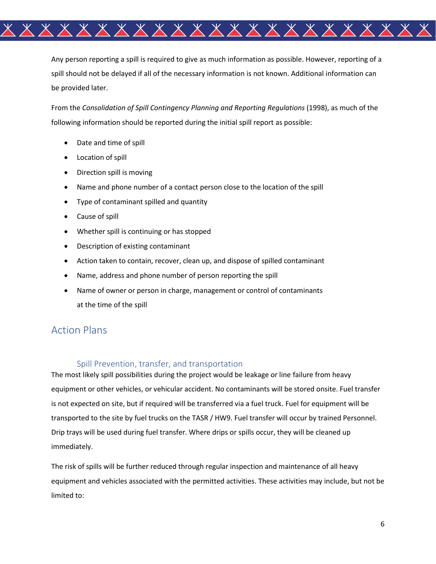

Any person reporting a spill is required to give as much information as possible. However, reporting of a spill should not be delayed if all of the necessary information is not known. Additional information can be provided later.

From the *Consolidation of Spill Contingency Planning and Reporting Regulations* (1998), as much of the following information should be reported during the initial spill report as possible:

- Date and time of spill
- Location of spill
- Direction spill is moving
- Name and phone number of a contact person close to the location of the spill
- Type of contaminant spilled and quantity
- Cause of spill
- Whether spill is continuing or has stopped
- Description of existing contaminant
- Action taken to contain, recover, clean up, and dispose of spilled contaminant
- Name, address and phone number of person reporting the spill
- Name of owner or person in charge, management or control of contaminants at the time of the spill

#### <span id="page-5-0"></span>Action Plans

#### Spill Prevention, transfer, and transportation

<span id="page-5-1"></span>The most likely spill possibilities during the project would be leakage or line failure from heavy equipment or other vehicles, or vehicular accident. No contaminants will be stored onsite. Fuel transfer is not expected on site, but if required will be transferred via a fuel truck. Fuel for equipment will be transported to the site by fuel trucks on the TASR / HW9. Fuel transfer will occur by trained Personnel. Drip trays will be used during fuel transfer. Where drips or spills occur, they will be cleaned up immediately.

The risk of spills will be further reduced through regular inspection and maintenance of all heavy equipment and vehicles associated with the permitted activities. These activities may include, but not be limited to: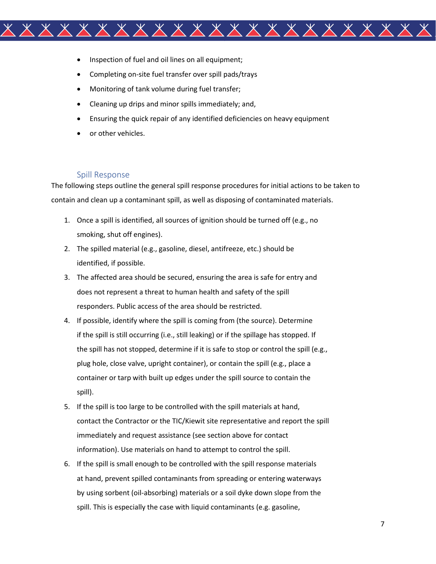

- Inspection of fuel and oil lines on all equipment;
- Completing on-site fuel transfer over spill pads/trays
- Monitoring of tank volume during fuel transfer;
- Cleaning up drips and minor spills immediately; and,
- Ensuring the quick repair of any identified deficiencies on heavy equipment
- or other vehicles.

#### Spill Response

<span id="page-6-0"></span>The following steps outline the general spill response procedures for initial actions to be taken to contain and clean up a contaminant spill, as well as disposing of contaminated materials.

- 1. Once a spill is identified, all sources of ignition should be turned off (e.g., no smoking, shut off engines).
- 2. The spilled material (e.g., gasoline, diesel, antifreeze, etc.) should be identified, if possible.
- 3. The affected area should be secured, ensuring the area is safe for entry and does not represent a threat to human health and safety of the spill responders. Public access of the area should be restricted.
- 4. If possible, identify where the spill is coming from (the source). Determine if the spill is still occurring (i.e., still leaking) or if the spillage has stopped. If the spill has not stopped, determine if it is safe to stop or control the spill (e.g., plug hole, close valve, upright container), or contain the spill (e.g., place a container or tarp with built up edges under the spill source to contain the spill).
- 5. If the spill is too large to be controlled with the spill materials at hand, contact the Contractor or the TIC/Kiewit site representative and report the spill immediately and request assistance (see section above for contact information). Use materials on hand to attempt to control the spill.
- 6. If the spill is small enough to be controlled with the spill response materials at hand, prevent spilled contaminants from spreading or entering waterways by using sorbent (oil-absorbing) materials or a soil dyke down slope from the spill. This is especially the case with liquid contaminants (e.g. gasoline,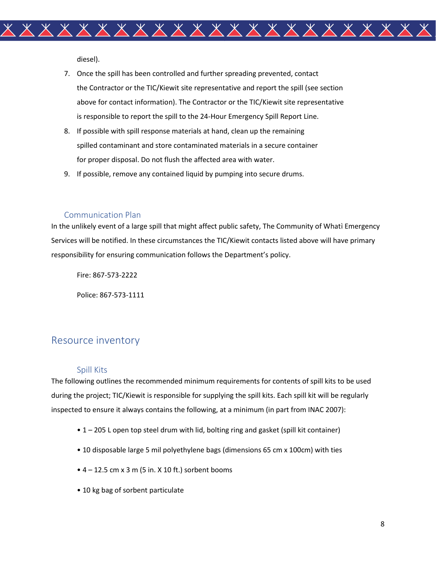

7. Once the spill has been controlled and further spreading prevented, contact the Contractor or the TIC/Kiewit site representative and report the spill (see section above for contact information). The Contractor or the TIC/Kiewit site representative is responsible to report the spill to the 24-Hour Emergency Spill Report Line.

- 8. If possible with spill response materials at hand, clean up the remaining spilled contaminant and store contaminated materials in a secure container for proper disposal. Do not flush the affected area with water.
- 9. If possible, remove any contained liquid by pumping into secure drums.

#### Communication Plan

<span id="page-7-0"></span>In the unlikely event of a large spill that might affect public safety, The Community of Whati Emergency Services will be notified. In these circumstances the TIC/Kiewit contacts listed above will have primary responsibility for ensuring communication follows the Department's policy.

Fire: 867-573-2222

Police: 867-573-1111

## <span id="page-7-1"></span>Resource inventory

#### Spill Kits

<span id="page-7-2"></span>The following outlines the recommended minimum requirements for contents of spill kits to be used during the project; TIC/Kiewit is responsible for supplying the spill kits. Each spill kit will be regularly inspected to ensure it always contains the following, at a minimum (in part from INAC 2007):

- 1 205 L open top steel drum with lid, bolting ring and gasket (spill kit container)
- 10 disposable large 5 mil polyethylene bags (dimensions 65 cm x 100cm) with ties
- $\bullet$  4 12.5 cm x 3 m (5 in. X 10 ft.) sorbent booms
- 10 kg bag of sorbent particulate